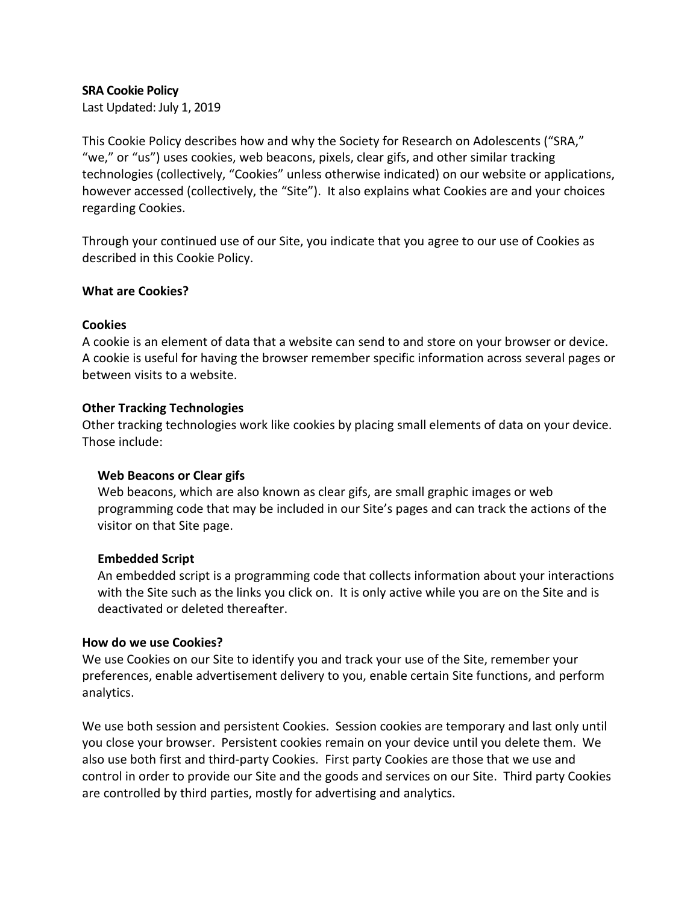### **SRA Cookie Policy**

Last Updated: July 1, 2019

This Cookie Policy describes how and why the Society for Research on Adolescents ("SRA," "we," or "us") uses cookies, web beacons, pixels, clear gifs, and other similar tracking technologies (collectively, "Cookies" unless otherwise indicated) on our website or applications, however accessed (collectively, the "Site"). It also explains what Cookies are and your choices regarding Cookies.

Through your continued use of our Site, you indicate that you agree to our use of Cookies as described in this Cookie Policy.

### **What are Cookies?**

### **Cookies**

A cookie is an element of data that a website can send to and store on your browser or device. A cookie is useful for having the browser remember specific information across several pages or between visits to a website.

### **Other Tracking Technologies**

Other tracking technologies work like cookies by placing small elements of data on your device. Those include:

### **Web Beacons or Clear gifs**

Web beacons, which are also known as clear gifs, are small graphic images or web programming code that may be included in our Site's pages and can track the actions of the visitor on that Site page.

### **Embedded Script**

An embedded script is a programming code that collects information about your interactions with the Site such as the links you click on. It is only active while you are on the Site and is deactivated or deleted thereafter.

### **How do we use Cookies?**

We use Cookies on our Site to identify you and track your use of the Site, remember your preferences, enable advertisement delivery to you, enable certain Site functions, and perform analytics.

We use both session and persistent Cookies. Session cookies are temporary and last only until you close your browser. Persistent cookies remain on your device until you delete them. We also use both first and third-party Cookies. First party Cookies are those that we use and control in order to provide our Site and the goods and services on our Site. Third party Cookies are controlled by third parties, mostly for advertising and analytics.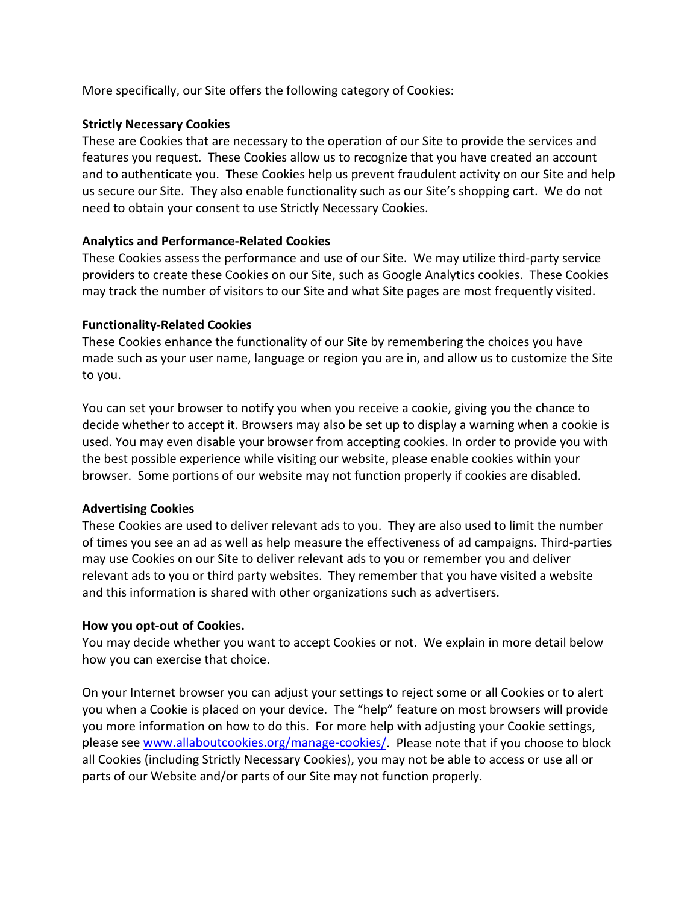More specifically, our Site offers the following category of Cookies:

## **Strictly Necessary Cookies**

These are Cookies that are necessary to the operation of our Site to provide the services and features you request. These Cookies allow us to recognize that you have created an account and to authenticate you. These Cookies help us prevent fraudulent activity on our Site and help us secure our Site. They also enable functionality such as our Site's shopping cart. We do not need to obtain your consent to use Strictly Necessary Cookies.

## **Analytics and Performance-Related Cookies**

These Cookies assess the performance and use of our Site. We may utilize third-party service providers to create these Cookies on our Site, such as Google Analytics cookies. These Cookies may track the number of visitors to our Site and what Site pages are most frequently visited.

## **Functionality-Related Cookies**

These Cookies enhance the functionality of our Site by remembering the choices you have made such as your user name, language or region you are in, and allow us to customize the Site to you.

You can set your browser to notify you when you receive a cookie, giving you the chance to decide whether to accept it. Browsers may also be set up to display a warning when a cookie is used. You may even disable your browser from accepting cookies. In order to provide you with the best possible experience while visiting our website, please enable cookies within your browser. Some portions of our website may not function properly if cookies are disabled.

# **Advertising Cookies**

These Cookies are used to deliver relevant ads to you. They are also used to limit the number of times you see an ad as well as help measure the effectiveness of ad campaigns. Third-parties may use Cookies on our Site to deliver relevant ads to you or remember you and deliver relevant ads to you or third party websites. They remember that you have visited a website and this information is shared with other organizations such as advertisers.

### **How you opt-out of Cookies.**

You may decide whether you want to accept Cookies or not. We explain in more detail below how you can exercise that choice.

On your Internet browser you can adjust your settings to reject some or all Cookies or to alert you when a Cookie is placed on your device. The "help" feature on most browsers will provide you more information on how to do this. For more help with adjusting your Cookie settings, please see [www.allaboutcookies.org/manage-cookies/.](http://www.allaboutcookies.org/manage-cookies/) Please note that if you choose to block all Cookies (including Strictly Necessary Cookies), you may not be able to access or use all or parts of our Website and/or parts of our Site may not function properly.